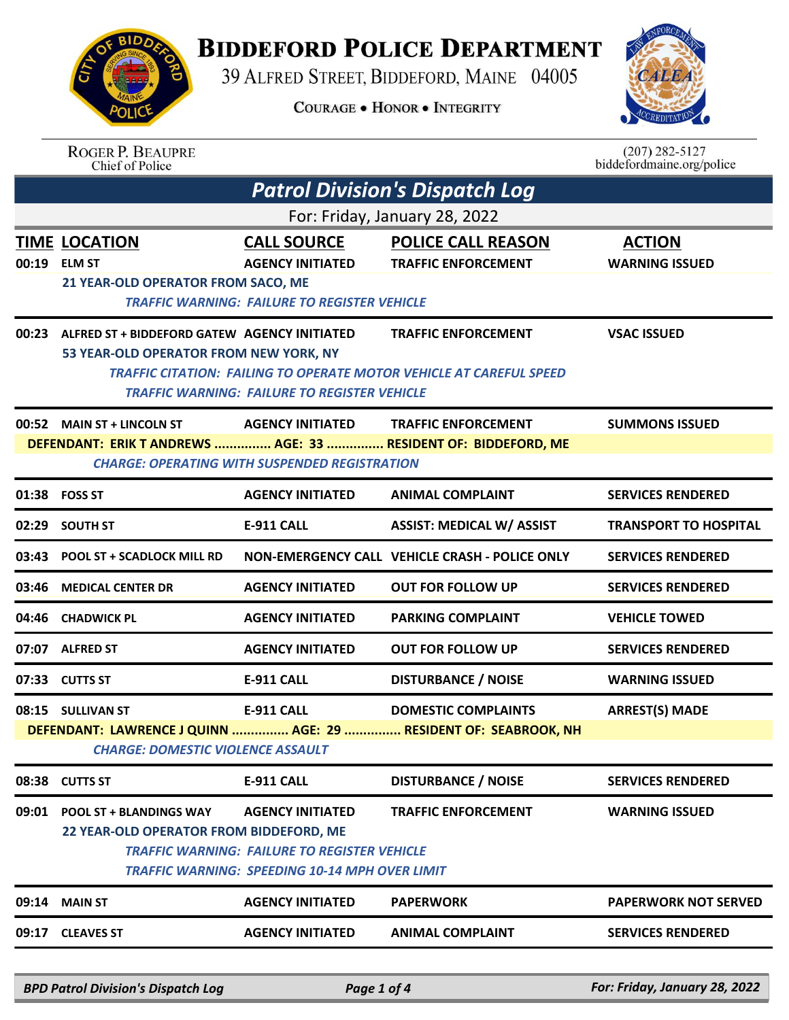## **BIDDEFORD POLICE DEPARTMENT**

39 ALFRED STREET, BIDDEFORD, MAINE 04005

**COURAGE . HONOR . INTEGRITY** 



| <b>BIDDA</b><br>ING SINO |  |
|--------------------------|--|
|                          |  |
| 88 P                     |  |
| POI<br>飞                 |  |

ROGER P. BEAUPRE<br>Chief of Police

| $(207)$ 282-5127          |  |
|---------------------------|--|
| biddefordmaine.org/police |  |

|       |                                                                                        |                                                                                                                                  | <b>Patrol Division's Dispatch Log</b>                                                                    |                                        |
|-------|----------------------------------------------------------------------------------------|----------------------------------------------------------------------------------------------------------------------------------|----------------------------------------------------------------------------------------------------------|----------------------------------------|
|       |                                                                                        |                                                                                                                                  | For: Friday, January 28, 2022                                                                            |                                        |
| 00:19 | <b>TIME LOCATION</b><br><b>ELM ST</b><br>21 YEAR-OLD OPERATOR FROM SACO, ME            | <b>CALL SOURCE</b><br><b>AGENCY INITIATED</b><br><b>TRAFFIC WARNING: FAILURE TO REGISTER VEHICLE</b>                             | <b>POLICE CALL REASON</b><br><b>TRAFFIC ENFORCEMENT</b>                                                  | <b>ACTION</b><br><b>WARNING ISSUED</b> |
| 00:23 | ALFRED ST + BIDDEFORD GATEW AGENCY INITIATED<br>53 YEAR-OLD OPERATOR FROM NEW YORK, NY | <b>TRAFFIC WARNING: FAILURE TO REGISTER VEHICLE</b>                                                                              | <b>TRAFFIC ENFORCEMENT</b><br><b>TRAFFIC CITATION: FAILING TO OPERATE MOTOR VEHICLE AT CAREFUL SPEED</b> | <b>VSAC ISSUED</b>                     |
|       | 00:52 MAIN ST + LINCOLN ST<br><b>CHARGE: OPERATING WITH SUSPENDED REGISTRATION</b>     | <b>AGENCY INITIATED</b>                                                                                                          | <b>TRAFFIC ENFORCEMENT</b><br>DEFENDANT: ERIK T ANDREWS  AGE: 33  RESIDENT OF: BIDDEFORD, ME             | <b>SUMMONS ISSUED</b>                  |
|       | 01:38 FOSS ST                                                                          | <b>AGENCY INITIATED</b>                                                                                                          | <b>ANIMAL COMPLAINT</b>                                                                                  | <b>SERVICES RENDERED</b>               |
|       | 02:29 SOUTH ST                                                                         | <b>E-911 CALL</b>                                                                                                                | <b>ASSIST: MEDICAL W/ ASSIST</b>                                                                         | <b>TRANSPORT TO HOSPITAL</b>           |
| 03:43 | <b>POOL ST + SCADLOCK MILL RD</b>                                                      |                                                                                                                                  | NON-EMERGENCY CALL VEHICLE CRASH - POLICE ONLY                                                           | <b>SERVICES RENDERED</b>               |
| 03:46 | <b>MEDICAL CENTER DR</b>                                                               | <b>AGENCY INITIATED</b>                                                                                                          | <b>OUT FOR FOLLOW UP</b>                                                                                 | <b>SERVICES RENDERED</b>               |
| 04:46 | <b>CHADWICK PL</b>                                                                     | <b>AGENCY INITIATED</b>                                                                                                          | <b>PARKING COMPLAINT</b>                                                                                 | <b>VEHICLE TOWED</b>                   |
|       | 07:07 ALFRED ST                                                                        | <b>AGENCY INITIATED</b>                                                                                                          | <b>OUT FOR FOLLOW UP</b>                                                                                 | <b>SERVICES RENDERED</b>               |
|       | 07:33 CUTTS ST                                                                         | E-911 CALL                                                                                                                       | <b>DISTURBANCE / NOISE</b>                                                                               | <b>WARNING ISSUED</b>                  |
|       | 08:15 SULLIVAN ST<br><b>CHARGE: DOMESTIC VIOLENCE ASSAULT</b>                          | E-911 CALL                                                                                                                       | <b>DOMESTIC COMPLAINTS</b><br>DEFENDANT: LAWRENCE J QUINN  AGE: 29  RESIDENT OF: SEABROOK, NH            | <b>ARREST(S) MADE</b>                  |
|       | 08:38 CUTTS ST                                                                         | <b>E-911 CALL</b>                                                                                                                | <b>DISTURBANCE / NOISE</b>                                                                               | <b>SERVICES RENDERED</b>               |
| 09:01 | <b>POOL ST + BLANDINGS WAY</b><br>22 YEAR-OLD OPERATOR FROM BIDDEFORD, ME              | <b>AGENCY INITIATED</b><br><b>TRAFFIC WARNING: FAILURE TO REGISTER VEHICLE</b><br>TRAFFIC WARNING: SPEEDING 10-14 MPH OVER LIMIT | <b>TRAFFIC ENFORCEMENT</b>                                                                               | <b>WARNING ISSUED</b>                  |
| 09:14 | <b>MAIN ST</b>                                                                         | <b>AGENCY INITIATED</b>                                                                                                          | <b>PAPERWORK</b>                                                                                         | <b>PAPERWORK NOT SERVED</b>            |
| 09:17 | <b>CLEAVES ST</b>                                                                      | <b>AGENCY INITIATED</b>                                                                                                          | <b>ANIMAL COMPLAINT</b>                                                                                  | <b>SERVICES RENDERED</b>               |
|       |                                                                                        |                                                                                                                                  |                                                                                                          |                                        |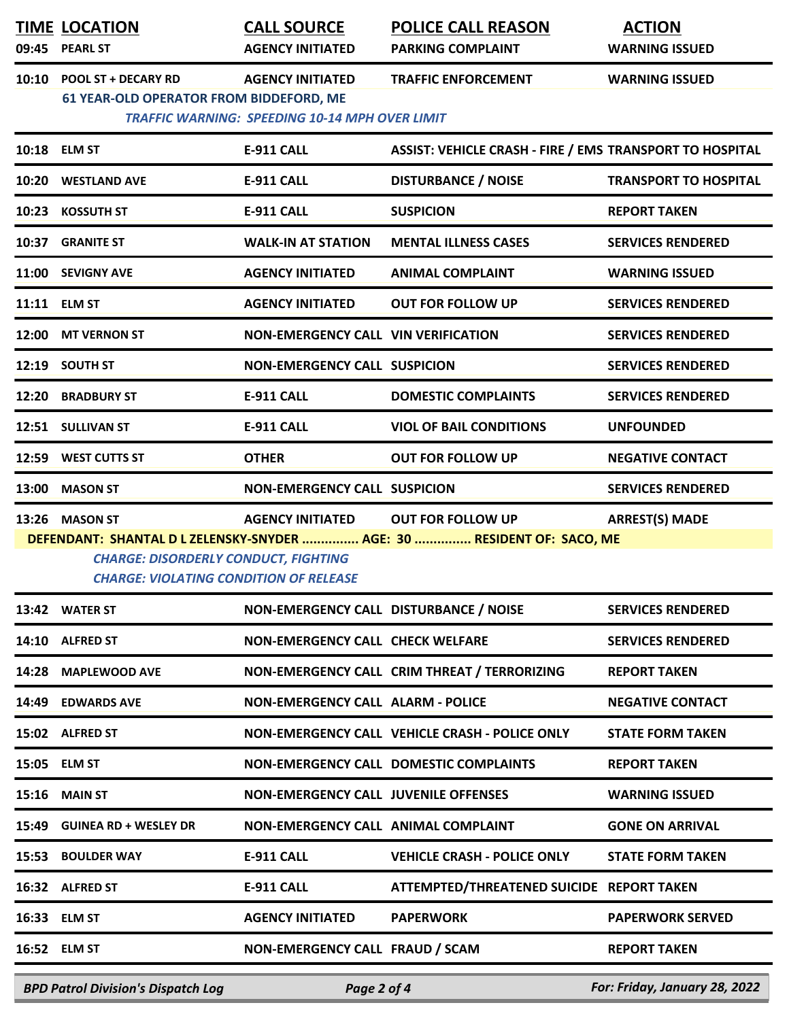|       | <b>TIME LOCATION</b><br>09:45 PEARL ST                                                                                                                                                                                                                                   | <b>CALL SOURCE</b><br><b>AGENCY INITIATED</b>                                    | <b>POLICE CALL REASON</b><br><b>PARKING COMPLAINT</b>    | <b>ACTION</b><br><b>WARNING ISSUED</b> |  |  |
|-------|--------------------------------------------------------------------------------------------------------------------------------------------------------------------------------------------------------------------------------------------------------------------------|----------------------------------------------------------------------------------|----------------------------------------------------------|----------------------------------------|--|--|
| 10:10 | <b>POOL ST + DECARY RD</b><br><b>61 YEAR-OLD OPERATOR FROM BIDDEFORD, ME</b>                                                                                                                                                                                             | <b>AGENCY INITIATED</b><br><b>TRAFFIC WARNING: SPEEDING 10-14 MPH OVER LIMIT</b> | <b>TRAFFIC ENFORCEMENT</b>                               | <b>WARNING ISSUED</b>                  |  |  |
|       | 10:18 ELM ST                                                                                                                                                                                                                                                             | <b>E-911 CALL</b>                                                                | ASSIST: VEHICLE CRASH - FIRE / EMS TRANSPORT TO HOSPITAL |                                        |  |  |
|       | 10:20 WESTLAND AVE                                                                                                                                                                                                                                                       | <b>E-911 CALL</b>                                                                | <b>DISTURBANCE / NOISE</b>                               | <b>TRANSPORT TO HOSPITAL</b>           |  |  |
|       | 10:23 KOSSUTH ST                                                                                                                                                                                                                                                         | <b>E-911 CALL</b>                                                                | <b>SUSPICION</b>                                         | <b>REPORT TAKEN</b>                    |  |  |
|       | 10:37 GRANITE ST                                                                                                                                                                                                                                                         | <b>WALK-IN AT STATION</b>                                                        | <b>MENTAL ILLNESS CASES</b>                              | <b>SERVICES RENDERED</b>               |  |  |
|       | 11:00 SEVIGNY AVE                                                                                                                                                                                                                                                        | <b>AGENCY INITIATED</b>                                                          | <b>ANIMAL COMPLAINT</b>                                  | <b>WARNING ISSUED</b>                  |  |  |
|       | 11:11 ELM ST                                                                                                                                                                                                                                                             | <b>AGENCY INITIATED</b>                                                          | <b>OUT FOR FOLLOW UP</b>                                 | <b>SERVICES RENDERED</b>               |  |  |
|       | 12:00 MT VERNON ST                                                                                                                                                                                                                                                       | NON-EMERGENCY CALL VIN VERIFICATION                                              |                                                          | <b>SERVICES RENDERED</b>               |  |  |
|       | 12:19 SOUTH ST                                                                                                                                                                                                                                                           | <b>NON-EMERGENCY CALL SUSPICION</b>                                              |                                                          | <b>SERVICES RENDERED</b>               |  |  |
|       | 12:20 BRADBURY ST                                                                                                                                                                                                                                                        | <b>E-911 CALL</b>                                                                | <b>DOMESTIC COMPLAINTS</b>                               | <b>SERVICES RENDERED</b>               |  |  |
|       | 12:51 SULLIVAN ST                                                                                                                                                                                                                                                        | <b>E-911 CALL</b>                                                                | <b>VIOL OF BAIL CONDITIONS</b>                           | <b>UNFOUNDED</b>                       |  |  |
|       | 12:59 WEST CUTTS ST                                                                                                                                                                                                                                                      | <b>OTHER</b>                                                                     | <b>OUT FOR FOLLOW UP</b>                                 | <b>NEGATIVE CONTACT</b>                |  |  |
| 13:00 | <b>MASON ST</b>                                                                                                                                                                                                                                                          | <b>NON-EMERGENCY CALL SUSPICION</b>                                              |                                                          | <b>SERVICES RENDERED</b>               |  |  |
|       | <b>ARREST(S) MADE</b><br>13:26 MASON ST<br><b>AGENCY INITIATED</b><br><b>OUT FOR FOLLOW UP</b><br>DEFENDANT: SHANTAL D L ZELENSKY-SNYDER  AGE: 30  RESIDENT OF: SACO, ME<br><b>CHARGE: DISORDERLY CONDUCT, FIGHTING</b><br><b>CHARGE: VIOLATING CONDITION OF RELEASE</b> |                                                                                  |                                                          |                                        |  |  |
|       | 13:42 WATER ST                                                                                                                                                                                                                                                           | NON-EMERGENCY CALL DISTURBANCE / NOISE                                           |                                                          | <b>SERVICES RENDERED</b>               |  |  |
|       | 14:10 ALFRED ST                                                                                                                                                                                                                                                          | <b>NON-EMERGENCY CALL CHECK WELFARE</b>                                          |                                                          | <b>SERVICES RENDERED</b>               |  |  |
|       | 14:28 MAPLEWOOD AVE                                                                                                                                                                                                                                                      |                                                                                  | NON-EMERGENCY CALL CRIM THREAT / TERRORIZING             | <b>REPORT TAKEN</b>                    |  |  |
|       | 14:49 EDWARDS AVE                                                                                                                                                                                                                                                        | <b>NON-EMERGENCY CALL ALARM - POLICE</b>                                         |                                                          | <b>NEGATIVE CONTACT</b>                |  |  |
|       | 15:02 ALFRED ST                                                                                                                                                                                                                                                          |                                                                                  | NON-EMERGENCY CALL VEHICLE CRASH - POLICE ONLY           | <b>STATE FORM TAKEN</b>                |  |  |
|       | 15:05 ELM ST                                                                                                                                                                                                                                                             |                                                                                  | NON-EMERGENCY CALL DOMESTIC COMPLAINTS                   | <b>REPORT TAKEN</b>                    |  |  |
|       | <b>15:16 MAIN ST</b>                                                                                                                                                                                                                                                     | <b>NON-EMERGENCY CALL JUVENILE OFFENSES</b>                                      |                                                          | <b>WARNING ISSUED</b>                  |  |  |
|       | 15:49 GUINEA RD + WESLEY DR                                                                                                                                                                                                                                              | NON-EMERGENCY CALL ANIMAL COMPLAINT                                              |                                                          | <b>GONE ON ARRIVAL</b>                 |  |  |
|       | 15:53 BOULDER WAY                                                                                                                                                                                                                                                        | <b>E-911 CALL</b>                                                                | <b>VEHICLE CRASH - POLICE ONLY</b>                       | <b>STATE FORM TAKEN</b>                |  |  |
|       | 16:32 ALFRED ST                                                                                                                                                                                                                                                          | <b>E-911 CALL</b>                                                                | ATTEMPTED/THREATENED SUICIDE REPORT TAKEN                |                                        |  |  |
|       | 16:33 ELM ST                                                                                                                                                                                                                                                             | <b>AGENCY INITIATED</b>                                                          | <b>PAPERWORK</b>                                         | <b>PAPERWORK SERVED</b>                |  |  |
|       | 16:52 ELM ST                                                                                                                                                                                                                                                             | NON-EMERGENCY CALL FRAUD / SCAM                                                  |                                                          | <b>REPORT TAKEN</b>                    |  |  |

*BPD Patrol Division's Dispatch Log Page 2 of 4 For: Friday, January 28, 2022*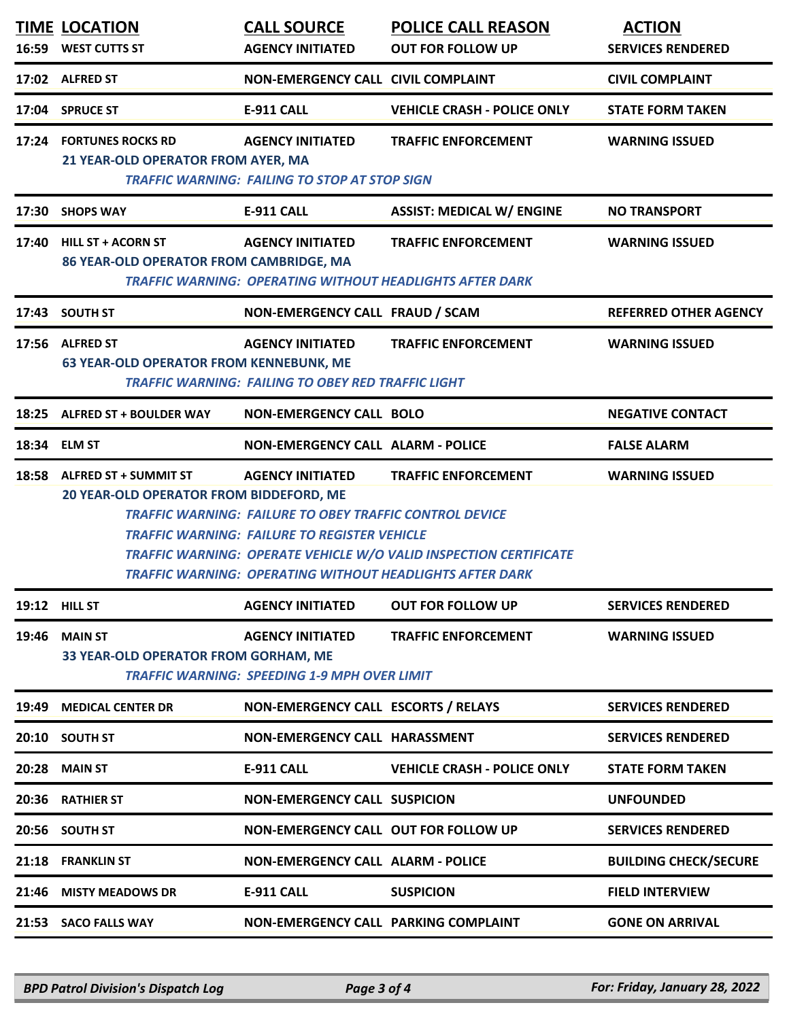|       | <b>TIME LOCATION</b>                                                   | <b>CALL SOURCE</b>                                                                                                                               | <b>POLICE CALL REASON</b>                                                                                                                                          | <b>ACTION</b>                |
|-------|------------------------------------------------------------------------|--------------------------------------------------------------------------------------------------------------------------------------------------|--------------------------------------------------------------------------------------------------------------------------------------------------------------------|------------------------------|
|       | 16:59 WEST CUTTS ST                                                    | <b>AGENCY INITIATED</b>                                                                                                                          | <b>OUT FOR FOLLOW UP</b>                                                                                                                                           | <b>SERVICES RENDERED</b>     |
|       | 17:02 ALFRED ST                                                        | NON-EMERGENCY CALL CIVIL COMPLAINT                                                                                                               |                                                                                                                                                                    | <b>CIVIL COMPLAINT</b>       |
|       | 17:04 SPRUCE ST                                                        | <b>E-911 CALL</b>                                                                                                                                | <b>VEHICLE CRASH - POLICE ONLY</b>                                                                                                                                 | <b>STATE FORM TAKEN</b>      |
|       | 17:24 FORTUNES ROCKS RD<br>21 YEAR-OLD OPERATOR FROM AYER, MA          | <b>AGENCY INITIATED</b><br><b>TRAFFIC WARNING: FAILING TO STOP AT STOP SIGN</b>                                                                  | <b>TRAFFIC ENFORCEMENT</b>                                                                                                                                         | <b>WARNING ISSUED</b>        |
|       | 17:30 SHOPS WAY                                                        | <b>E-911 CALL</b>                                                                                                                                | <b>ASSIST: MEDICAL W/ ENGINE</b>                                                                                                                                   | <b>NO TRANSPORT</b>          |
|       | 17:40 HILL ST + ACORN ST<br>86 YEAR-OLD OPERATOR FROM CAMBRIDGE, MA    | <b>AGENCY INITIATED</b>                                                                                                                          | <b>TRAFFIC ENFORCEMENT</b><br><b>TRAFFIC WARNING: OPERATING WITHOUT HEADLIGHTS AFTER DARK</b>                                                                      | <b>WARNING ISSUED</b>        |
| 17:43 | <b>SOUTH ST</b>                                                        | NON-EMERGENCY CALL FRAUD / SCAM                                                                                                                  |                                                                                                                                                                    | <b>REFERRED OTHER AGENCY</b> |
|       | 17:56 ALFRED ST<br><b>63 YEAR-OLD OPERATOR FROM KENNEBUNK, ME</b>      | <b>AGENCY INITIATED</b><br><b>TRAFFIC WARNING: FAILING TO OBEY RED TRAFFIC LIGHT</b>                                                             | <b>TRAFFIC ENFORCEMENT</b>                                                                                                                                         | <b>WARNING ISSUED</b>        |
|       | 18:25 ALFRED ST + BOULDER WAY                                          | <b>NON-EMERGENCY CALL BOLO</b>                                                                                                                   |                                                                                                                                                                    | <b>NEGATIVE CONTACT</b>      |
|       | 18:34 ELM ST                                                           | <b>NON-EMERGENCY CALL ALARM - POLICE</b>                                                                                                         |                                                                                                                                                                    | <b>FALSE ALARM</b>           |
|       | 18:58 ALFRED ST + SUMMIT ST<br>20 YEAR-OLD OPERATOR FROM BIDDEFORD, ME | <b>AGENCY INITIATED</b><br><b>TRAFFIC WARNING: FAILURE TO OBEY TRAFFIC CONTROL DEVICE</b><br><b>TRAFFIC WARNING: FAILURE TO REGISTER VEHICLE</b> | <b>TRAFFIC ENFORCEMENT</b><br>TRAFFIC WARNING: OPERATE VEHICLE W/O VALID INSPECTION CERTIFICATE<br><b>TRAFFIC WARNING: OPERATING WITHOUT HEADLIGHTS AFTER DARK</b> | <b>WARNING ISSUED</b>        |
|       | <b>19:12 HILL ST</b>                                                   | <b>AGENCY INITIATED</b>                                                                                                                          | <b>OUT FOR FOLLOW UP</b>                                                                                                                                           | <b>SERVICES RENDERED</b>     |
| 19:46 | <b>MAIN ST</b><br>33 YEAR-OLD OPERATOR FROM GORHAM, ME                 | <b>AGENCY INITIATED</b><br><b>TRAFFIC WARNING: SPEEDING 1-9 MPH OVER LIMIT</b>                                                                   | <b>TRAFFIC ENFORCEMENT</b>                                                                                                                                         | <b>WARNING ISSUED</b>        |
| 19:49 | <b>MEDICAL CENTER DR</b>                                               | NON-EMERGENCY CALL ESCORTS / RELAYS                                                                                                              |                                                                                                                                                                    | <b>SERVICES RENDERED</b>     |
|       | 20:10 SOUTH ST                                                         | NON-EMERGENCY CALL HARASSMENT                                                                                                                    |                                                                                                                                                                    | <b>SERVICES RENDERED</b>     |
| 20:28 | <b>MAIN ST</b>                                                         | <b>E-911 CALL</b>                                                                                                                                | <b>VEHICLE CRASH - POLICE ONLY</b>                                                                                                                                 | <b>STATE FORM TAKEN</b>      |
| 20:36 | <b>RATHIER ST</b>                                                      | <b>NON-EMERGENCY CALL SUSPICION</b>                                                                                                              |                                                                                                                                                                    | <b>UNFOUNDED</b>             |
| 20:56 | <b>SOUTH ST</b>                                                        | NON-EMERGENCY CALL OUT FOR FOLLOW UP                                                                                                             |                                                                                                                                                                    | <b>SERVICES RENDERED</b>     |
| 21:18 | <b>FRANKLIN ST</b>                                                     | <b>NON-EMERGENCY CALL ALARM - POLICE</b>                                                                                                         |                                                                                                                                                                    | <b>BUILDING CHECK/SECURE</b> |
| 21:46 | <b>MISTY MEADOWS DR</b>                                                | <b>E-911 CALL</b>                                                                                                                                | <b>SUSPICION</b>                                                                                                                                                   | <b>FIELD INTERVIEW</b>       |
|       | 21:53 SACO FALLS WAY                                                   | NON-EMERGENCY CALL PARKING COMPLAINT                                                                                                             |                                                                                                                                                                    | <b>GONE ON ARRIVAL</b>       |

*BPD Patrol Division's Dispatch Log Page 3 of 4 For: Friday, January 28, 2022*